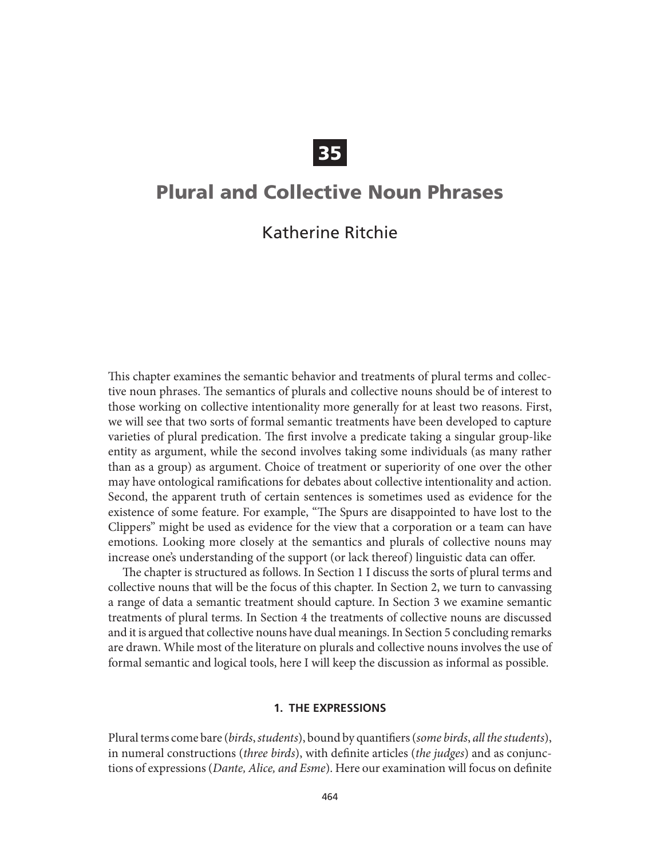35

# Plural and Collective Noun Phrases

# Katherine Ritchie

This chapter examines the semantic behavior and treatments of plural terms and collective noun phrases. The semantics of plurals and collective nouns should be of interest to those working on collective intentionality more generally for at least two reasons. First, we will see that two sorts of formal semantic treatments have been developed to capture varieties of plural predication. The first involve a predicate taking a singular group-like entity as argument, while the second involves taking some individuals (as many rather than as a group) as argument. Choice of treatment or superiority of one over the other may have ontological ramifications for debates about collective intentionality and action. Second, the apparent truth of certain sentences is sometimes used as evidence for the existence of some feature. For example, "The Spurs are disappointed to have lost to the Clippers" might be used as evidence for the view that a corporation or a team can have emotions. Looking more closely at the semantics and plurals of collective nouns may increase one's understanding of the support (or lack thereof) linguistic data can offer.

The chapter is structured as follows. In Section 1 I discuss the sorts of plural terms and collective nouns that will be the focus of this chapter. In Section 2, we turn to canvassing a range of data a semantic treatment should capture. In Section 3 we examine semantic treatments of plural terms. In Section 4 the treatments of collective nouns are discussed and it is argued that collective nouns have dual meanings. In Section 5 concluding remarks are drawn. While most of the literature on plurals and collective nouns involves the use of formal semantic and logical tools, here I will keep the discussion as informal as possible.

# **1. THE EXPRESSIONS**

 Plural terms come bare ( *birds* , *students* ), bound by quantif ers ( *some birds* , *all the students* ), in numeral constructions (*three birds*), with definite articles (*the judges*) and as conjunctions of expressions (*Dante, Alice, and Esme*). Here our examination will focus on definite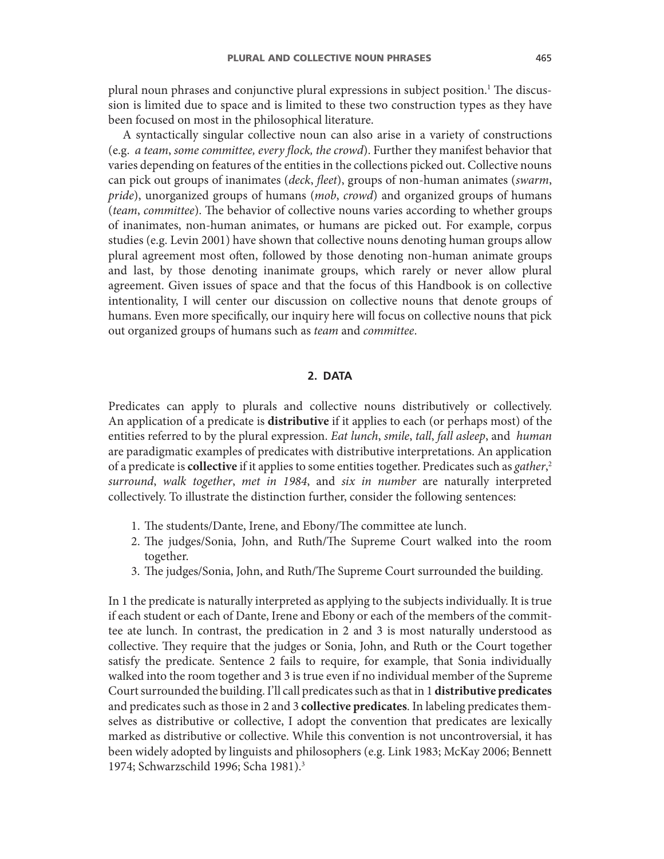plural noun phrases and conjunctive plural expressions in subject position.<sup>1</sup> The discussion is limited due to space and is limited to these two construction types as they have been focused on most in the philosophical literature.

 A syntactically singular collective noun can also arise in a variety of constructions (e.g. *a team* , *some committee, every* f *ock, the crowd* ). Further they manifest behavior that varies depending on features of the entities in the collections picked out. Collective nouns can pick out groups of inanimates (deck, fleet), groups of non-human animates (swarm, *pride* ), unorganized groups of humans ( *mob* , *crowd* ) and organized groups of humans *(team, committee)*. The behavior of collective nouns varies according to whether groups of inanimates, non-human animates, or humans are picked out. For example, corpus studies (e.g. Levin 2001) have shown that collective nouns denoting human groups allow plural agreement most often, followed by those denoting non-human animate groups and last, by those denoting inanimate groups, which rarely or never allow plural agreement. Given issues of space and that the focus of this Handbook is on collective intentionality, I will center our discussion on collective nouns that denote groups of humans. Even more specifically, our inquiry here will focus on collective nouns that pick out organized groups of humans such as *team* and *committee* .

# **2. DATA**

 Predicates can apply to plurals and collective nouns distributively or collectively. An application of a predicate is **distributive** if it applies to each (or perhaps most) of the entities referred to by the plural expression. *Eat lunch* , *smile* , *tall* , *fall asleep* , and *human* are paradigmatic examples of predicates with distributive interpretations. An application of a predicate is **collective** if it applies to some entities together. Predicates such as *gather*,<sup>2</sup> *surround* , *walk together* , *met in 1984* , and *six in number* are naturally interpreted collectively. To illustrate the distinction further, consider the following sentences:

- 1. The students/Dante, Irene, and Ebony/The committee ate lunch.
- 2. The judges/Sonia, John, and Ruth/The Supreme Court walked into the room together.
- 3. The judges/Sonia, John, and Ruth/The Supreme Court surrounded the building.

In 1 the predicate is naturally interpreted as applying to the subjects individually. It is true if each student or each of Dante, Irene and Ebony or each of the members of the committee ate lunch. In contrast, the predication in 2 and 3 is most naturally understood as collective. They require that the judges or Sonia, John, and Ruth or the Court together satisfy the predicate. Sentence 2 fails to require, for example, that Sonia individually walked into the room together and 3 is true even if no individual member of the Supreme Court surrounded the building. I'll call predicates such as that in 1 **distributive predicates** and predicates such as those in 2 and 3 **collective predicates** . In labeling predicates themselves as distributive or collective, I adopt the convention that predicates are lexically marked as distributive or collective. While this convention is not uncontroversial, it has been widely adopted by linguists and philosophers (e.g. Link 1983; McKay 2006; Bennett 1974; Schwarzschild 1996; Scha 1981). 3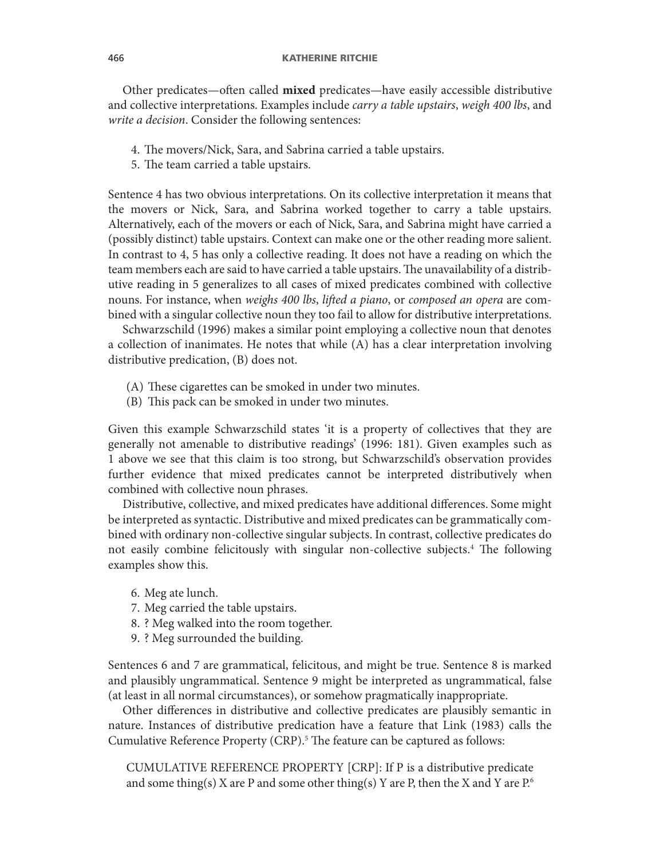#### 466 KATHERINE RITCHIE

Other predicates—often called **mixed** predicates—have easily accessible distributive and collective interpretations. Examples include *carry a table upstairs* , *weigh 400 lbs* , and *write a decision*. Consider the following sentences:

- 4. The movers/Nick, Sara, and Sabrina carried a table upstairs.
- 5. The team carried a table upstairs.

Sentence 4 has two obvious interpretations. On its collective interpretation it means that the movers or Nick, Sara, and Sabrina worked together to carry a table upstairs. Alternatively, each of the movers or each of Nick, Sara, and Sabrina might have carried a (possibly distinct) table upstairs. Context can make one or the other reading more salient. In contrast to 4, 5 has only a collective reading. It does not have a reading on which the team members each are said to have carried a table upstairs. The unavailability of a distributive reading in 5 generalizes to all cases of mixed predicates combined with collective nouns. For instance, when *weighs 400 lbs* , *li*f *ed a piano* , or *composed an opera* are combined with a singular collective noun they too fail to allow for distributive interpretations.

 Schwarzschild (1996) makes a similar point employing a collective noun that denotes a collection of inanimates. He notes that while (A) has a clear interpretation involving distributive predication, (B) does not.

- (A) These cigarettes can be smoked in under two minutes.
- (B) This pack can be smoked in under two minutes.

Given this example Schwarzschild states 'it is a property of collectives that they are generally not amenable to distributive readings' (1996: 181). Given examples such as 1 above we see that this claim is too strong, but Schwarzschild's observation provides further evidence that mixed predicates cannot be interpreted distributively when combined with collective noun phrases.

Distributive, collective, and mixed predicates have additional differences. Some might be interpreted as syntactic. Distributive and mixed predicates can be grammatically combined with ordinary non-collective singular subjects. In contrast, collective predicates do not easily combine felicitously with singular non-collective subjects.<sup>4</sup> The following examples show this.

- 6. Meg ate lunch.
- 7. Meg carried the table upstairs.
- 8. ? Meg walked into the room together.
- 9. ? Meg surrounded the building.

Sentences 6 and 7 are grammatical, felicitous, and might be true. Sentence 8 is marked and plausibly ungrammatical. Sentence 9 might be interpreted as ungrammatical, false (at least in all normal circumstances), or somehow pragmatically inappropriate.

Other differences in distributive and collective predicates are plausibly semantic in nature. Instances of distributive predication have a feature that Link (1983) calls the Cumulative Reference Property (CRP).<sup>5</sup> The feature can be captured as follows:

 CUMULATIVE REFERENCE PROPERTY [CRP]: If P is a distributive predicate and some thing(s) X are P and some other thing(s) Y are P, then the X and Y are  $P_0^6$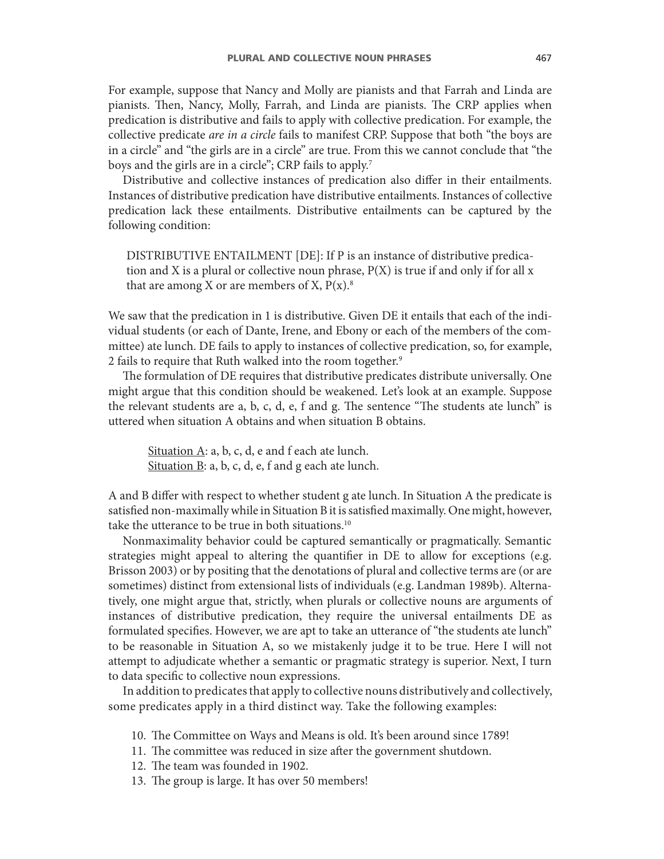For example, suppose that Nancy and Molly are pianists and that Farrah and Linda are pianists. Then, Nancy, Molly, Farrah, and Linda are pianists. The CRP applies when predication is distributive and fails to apply with collective predication. For example, the collective predicate *are in a circle* fails to manifest CRP. Suppose that both "the boys are in a circle" and "the girls are in a circle" are true. From this we cannot conclude that "the boys and the girls are in a circle"; CRP fails to apply.<sup>7</sup>

Distributive and collective instances of predication also differ in their entailments. Instances of distributive predication have distributive entailments. Instances of collective predication lack these entailments. Distributive entailments can be captured by the following condition:

 DISTRIBUTIVE ENTAILMENT [DE]: If P is an instance of distributive predication and X is a plural or collective noun phrase,  $P(X)$  is true if and only if for all x that are among X or are members of X,  $P(x)$ .<sup>8</sup>

 We saw that the predication in 1 is distributive. Given DE it entails that each of the individual students (or each of Dante, Irene, and Ebony or each of the members of the committee) ate lunch. DE fails to apply to instances of collective predication, so, for example, 2 fails to require that Ruth walked into the room together.<sup>9</sup>

The formulation of DE requires that distributive predicates distribute universally. One might argue that this condition should be weakened. Let's look at an example. Suppose the relevant students are a, b, c, d, e, f and g. The sentence "The students ate lunch" is uttered when situation A obtains and when situation B obtains.

Situation A:  $a, b, c, d, e$  and  $f$  each ate lunch. Situation  $B$ : a, b, c, d, e, f and g each ate lunch.

A and B differ with respect to whether student g ate lunch. In Situation A the predicate is satisfied non-maximally while in Situation B it is satisfied maximally. One might, however, take the utterance to be true in both situations.<sup>10</sup>

 Nonmaximality behavior could be captured semantically or pragmatically. Semantic strategies might appeal to altering the quantifier in  $DE$  to allow for exceptions (e.g. Brisson 2003) or by positing that the denotations of plural and collective terms are (or are sometimes) distinct from extensional lists of individuals (e.g. Landman 1989b). Alternatively, one might argue that, strictly, when plurals or collective nouns are arguments of instances of distributive predication, they require the universal entailments DE as formulated specifies. However, we are apt to take an utterance of "the students ate lunch" to be reasonable in Situation A, so we mistakenly judge it to be true. Here I will not attempt to adjudicate whether a semantic or pragmatic strategy is superior. Next, I turn to data specific to collective noun expressions.

 In addition to predicates that apply to collective nouns distributively and collectively, some predicates apply in a third distinct way. Take the following examples:

- 10. The Committee on Ways and Means is old. It's been around since 1789!
- 11. The committee was reduced in size after the government shutdown.
- 12. The team was founded in 1902.
- 13. The group is large. It has over 50 members!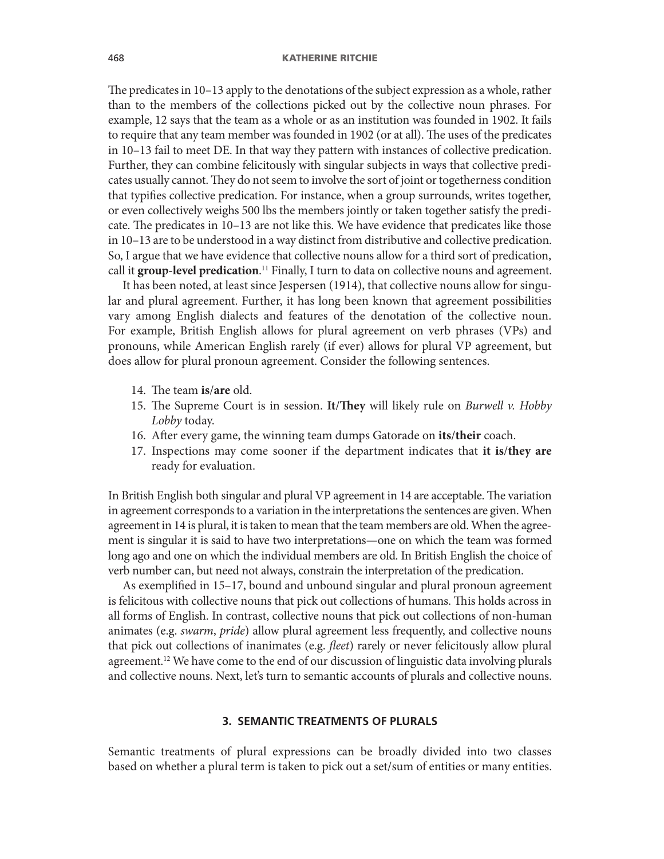The predicates in  $10-13$  apply to the denotations of the subject expression as a whole, rather than to the members of the collections picked out by the collective noun phrases. For example, 12 says that the team as a whole or as an institution was founded in 1902. It fails to require that any team member was founded in 1902 (or at all). The uses of the predicates in 10–13 fail to meet DE. In that way they pattern with instances of collective predication. Further, they can combine felicitously with singular subjects in ways that collective predicates usually cannot. They do not seem to involve the sort of joint or togetherness condition that typifies collective predication. For instance, when a group surrounds, writes together, or even collectively weighs 500 lbs the members jointly or taken together satisfy the predicate. The predicates in 10-13 are not like this. We have evidence that predicates like those in 10–13 are to be understood in a way distinct from distributive and collective predication. So, I argue that we have evidence that collective nouns allow for a third sort of predication, call it **group-level predication**.<sup>11</sup> Finally, I turn to data on collective nouns and agreement.

 It has been noted, at least since Jespersen (1914), that collective nouns allow for singular and plural agreement. Further, it has long been known that agreement possibilities vary among English dialects and features of the denotation of the collective noun. For example, British English allows for plural agreement on verb phrases (VPs) and pronouns, while American English rarely (if ever) allows for plural VP agreement, but does allow for plural pronoun agreement. Consider the following sentences.

- 14. The team **is/are** old.
- 15. The Supreme Court is in session. It/They will likely rule on *Burwell v. Hobby Lobby* today.
- 16. After every game, the winning team dumps Gatorade on *its/their* coach.
- 17. Inspections may come sooner if the department indicates that it is/they are ready for evaluation.

In British English both singular and plural VP agreement in 14 are acceptable. The variation in agreement corresponds to a variation in the interpretations the sentences are given. When agreement in 14 is plural, it is taken to mean that the team members are old. When the agreement is singular it is said to have two interpretations—one on which the team was formed long ago and one on which the individual members are old. In British English the choice of verb number can, but need not always, constrain the interpretation of the predication.

As exemplified in 15–17, bound and unbound singular and plural pronoun agreement is felicitous with collective nouns that pick out collections of humans. This holds across in all forms of English. In contrast, collective nouns that pick out collections of non-human animates (e.g. *swarm* , *pride* ) allow plural agreement less frequently, and collective nouns that pick out collections of inanimates (e.g. *fleet*) rarely or never felicitously allow plural agreement.<sup>12</sup> We have come to the end of our discussion of linguistic data involving plurals and collective nouns. Next, let's turn to semantic accounts of plurals and collective nouns.

# **3. SEMANTIC TREATMENTS OF PLURALS**

 Semantic treatments of plural expressions can be broadly divided into two classes based on whether a plural term is taken to pick out a set/sum of entities or many entities.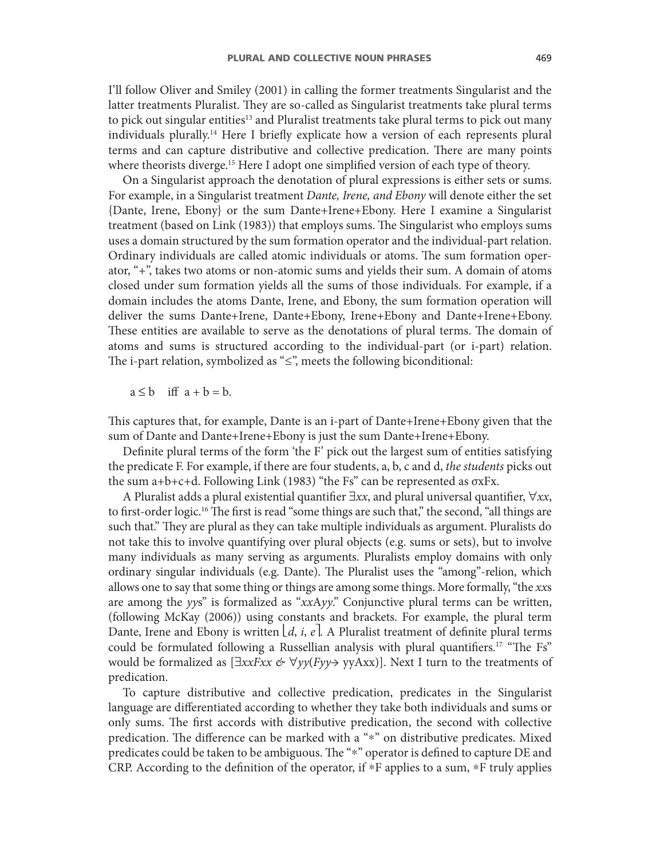I'll follow Oliver and Smiley (2001) in calling the former treatments Singularist and the latter treatments Pluralist. They are so-called as Singularist treatments take plural terms to pick out singular entities<sup>13</sup> and Pluralist treatments take plural terms to pick out many individuals plurally.<sup>14</sup> Here I briefly explicate how a version of each represents plural terms and can capture distributive and collective predication. There are many points where theorists diverge.<sup>15</sup> Here I adopt one simplified version of each type of theory.

 On a Singularist approach the denotation of plural expressions is either sets or sums. For example, in a Singularist treatment *Dante, Irene, and Ebony* will denote either the set {Dante, Irene, Ebony} or the sum Dante+Irene+Ebony. Here I examine a Singularist treatment (based on Link (1983)) that employs sums. The Singularist who employs sums uses a domain structured by the sum formation operator and the individual-part relation. Ordinary individuals are called atomic individuals or atoms. The sum formation operator, "+", takes two atoms or non-atomic sums and yields their sum. A domain of atoms closed under sum formation yields all the sums of those individuals. For example, if a domain includes the atoms Dante, Irene, and Ebony, the sum formation operation will deliver the sums Dante+Irene, Dante+Ebony, Irene+Ebony and Dante+Irene+Ebony. These entities are available to serve as the denotations of plural terms. The domain of atoms and sums is structured according to the individual-part (or i-part) relation. The i-part relation, symbolized as "≤", meets the following biconditional:

 $a \leq b$  iff  $a + b = b$ .

This captures that, for example, Dante is an i-part of Dante+Irene+Ebony given that the sum of Dante and Dante+Irene+Ebony is just the sum Dante+Irene+Ebony.

Definite plural terms of the form 'the F' pick out the largest sum of entities satisfying the predicate F. For example, if there are four students, a, b, c and d, *the students* picks out the sum a+b+c+d. Following Link (1983) "the Fs" can be represented as σxFx.

A Pluralist adds a plural existential quantifier ∃*xx*, and plural universal quantifier,  $\forall$ *xx*, to first-order logic.<sup>16</sup> The first is read "some things are such that," the second, "all things are such that." They are plural as they can take multiple individuals as argument. Pluralists do not take this to involve quantifying over plural objects (e.g. sums or sets), but to involve many individuals as many serving as arguments. Pluralists employ domains with only ordinary singular individuals (e.g. Dante). The Pluralist uses the "among"-relion, which allows one to say that some thing or things are among some things. More formally, "the *xx* s are among the *yys*" is formalized as "xxAyy." Conjunctive plural terms can be written, (following McKay (2006)) using constants and brackets. For example, the plural term Dante, Irene and Ebony is written  $\lfloor d, i, e \rfloor$ . A Pluralist treatment of definite plural terms could be formulated following a Russellian analysis with plural quantifiers.<sup>17</sup> "The Fs" would be formalized as [∃*xxFxx &* ∀*yy*(*Fyy*→ yyAxx)]. Next I turn to the treatments of predication.

 To capture distributive and collective predication, predicates in the Singularist language are differentiated according to whether they take both individuals and sums or only sums. The first accords with distributive predication, the second with collective predication. The difference can be marked with a "\*" on distributive predicates. Mixed predicates could be taken to be ambiguous. The "\*" operator is defined to capture DE and CRP. According to the definition of the operator, if  $*F$  applies to a sum,  $*F$  truly applies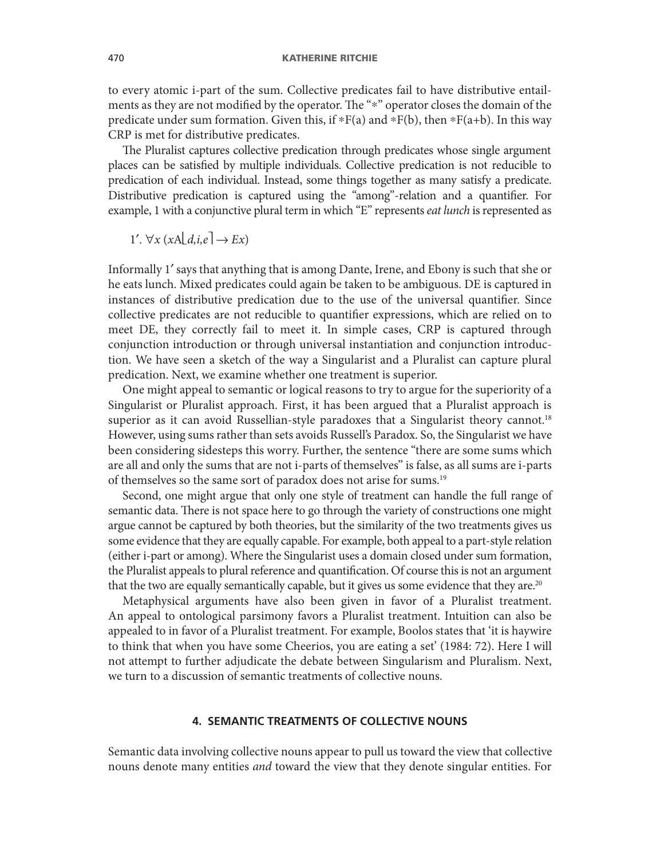to every atomic i-part of the sum. Collective predicates fail to have distributive entailments as they are not modified by the operator. The "\*" operator closes the domain of the predicate under sum formation. Given this, if  $*F(a)$  and  $*F(b)$ , then  $*F(a+b)$ . In this way CRP is met for distributive predicates.

The Pluralist captures collective predication through predicates whose single argument places can be satisfied by multiple individuals. Collective predication is not reducible to predication of each individual. Instead, some things together as many satisfy a predicate. Distributive predication is captured using the "among"-relation and a quantifier. For example, 1 with a conjunctive plural term in which "E" represents *eat lunch* is represented as

1'. 
$$
\forall x (xA\lfloor d, i, e \rfloor \rightarrow Ex)
$$

Informally 1′ says that anything that is among Dante, Irene, and Ebony is such that she or he eats lunch. Mixed predicates could again be taken to be ambiguous. DE is captured in instances of distributive predication due to the use of the universal quantifier. Since collective predicates are not reducible to quantifier expressions, which are relied on to meet DE, they correctly fail to meet it. In simple cases, CRP is captured through conjunction introduction or through universal instantiation and conjunction introduction. We have seen a sketch of the way a Singularist and a Pluralist can capture plural predication. Next, we examine whether one treatment is superior.

 One might appeal to semantic or logical reasons to try to argue for the superiority of a Singularist or Pluralist approach. First, it has been argued that a Pluralist approach is superior as it can avoid Russellian-style paradoxes that a Singularist theory cannot.<sup>18</sup> However, using sums rather than sets avoids Russell's Paradox. So, the Singularist we have been considering sidesteps this worry. Further, the sentence "there are some sums which are all and only the sums that are not i-parts of themselves" is false, as all sums are i-parts of themselves so the same sort of paradox does not arise for sums. 19

 Second, one might argue that only one style of treatment can handle the full range of semantic data. There is not space here to go through the variety of constructions one might argue cannot be captured by both theories, but the similarity of the two treatments gives us some evidence that they are equally capable. For example, both appeal to a part-style relation (either i-part or among). Where the Singularist uses a domain closed under sum formation, the Pluralist appeals to plural reference and quantification. Of course this is not an argument that the two are equally semantically capable, but it gives us some evidence that they are.<sup>20</sup>

 Metaphysical arguments have also been given in favor of a Pluralist treatment. An appeal to ontological parsimony favors a Pluralist treatment. Intuition can also be appealed to in favor of a Pluralist treatment. For example, Boolos states that 'it is haywire to think that when you have some Cheerios, you are eating a set' (1984: 72). Here I will not attempt to further adjudicate the debate between Singularism and Pluralism. Next, we turn to a discussion of semantic treatments of collective nouns.

# **4. SEMANTIC TREATMENTS OF COLLECTIVE NOUNS**

 Semantic data involving collective nouns appear to pull us toward the view that collective nouns denote many entities *and* toward the view that they denote singular entities. For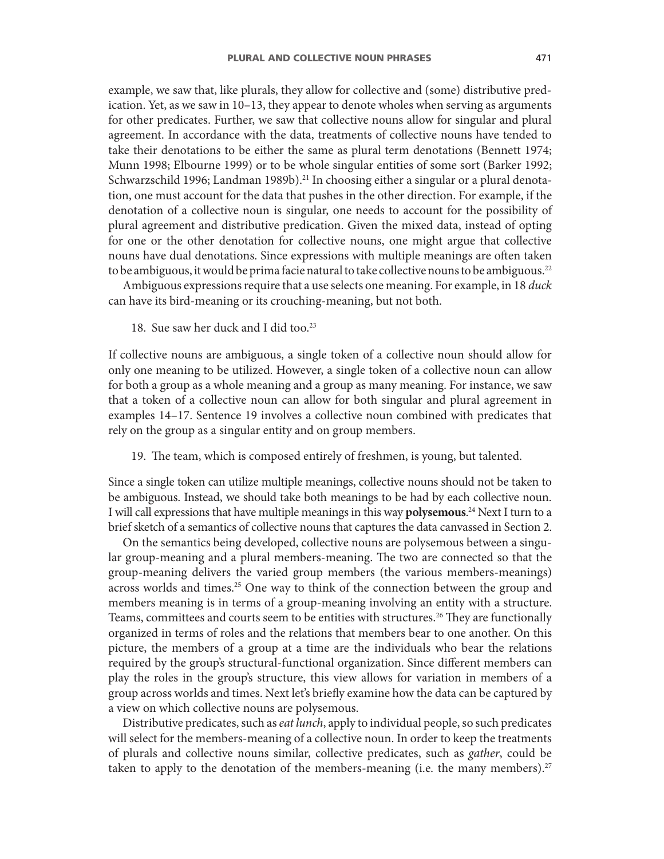example, we saw that, like plurals, they allow for collective and (some) distributive predication. Yet, as we saw in 10–13, they appear to denote wholes when serving as arguments for other predicates. Further, we saw that collective nouns allow for singular and plural agreement. In accordance with the data, treatments of collective nouns have tended to take their denotations to be either the same as plural term denotations (Bennett 1974; Munn 1998; Elbourne 1999) or to be whole singular entities of some sort (Barker 1992; Schwarzschild 1996; Landman 1989b).<sup>21</sup> In choosing either a singular or a plural denotation, one must account for the data that pushes in the other direction. For example, if the denotation of a collective noun is singular, one needs to account for the possibility of plural agreement and distributive predication. Given the mixed data, instead of opting for one or the other denotation for collective nouns, one might argue that collective nouns have dual denotations. Since expressions with multiple meanings are often taken to be ambiguous, it would be prima facie natural to take collective nouns to be ambiguous.<sup>22</sup>

 Ambiguous expressions require that a use selects one meaning. For example, in 18 *duck* can have its bird-meaning or its crouching-meaning, but not both.

18. Sue saw her duck and I did too.<sup>23</sup>

If collective nouns are ambiguous, a single token of a collective noun should allow for only one meaning to be utilized. However, a single token of a collective noun can allow for both a group as a whole meaning and a group as many meaning. For instance, we saw that a token of a collective noun can allow for both singular and plural agreement in examples 14–17. Sentence 19 involves a collective noun combined with predicates that rely on the group as a singular entity and on group members.

19. The team, which is composed entirely of freshmen, is young, but talented.

Since a single token can utilize multiple meanings, collective nouns should not be taken to be ambiguous. Instead, we should take both meanings to be had by each collective noun. I will call expressions that have multiple meanings in this way **polysemous**.<sup>24</sup> Next I turn to a brief sketch of a semantics of collective nouns that captures the data canvassed in Section 2.

 On the semantics being developed, collective nouns are polysemous between a singular group-meaning and a plural members-meaning. The two are connected so that the group-meaning delivers the varied group members (the various members-meanings) across worlds and times. 25 One way to think of the connection between the group and members meaning is in terms of a group-meaning involving an entity with a structure. Teams, committees and courts seem to be entities with structures.<sup>26</sup> They are functionally organized in terms of roles and the relations that members bear to one another. On this picture, the members of a group at a time are the individuals who bear the relations required by the group's structural-functional organization. Since different members can play the roles in the group's structure, this view allows for variation in members of a group across worlds and times. Next let's briefly examine how the data can be captured by a view on which collective nouns are polysemous.

 Distributive predicates, such as *eat lunch* , apply to individual people, so such predicates will select for the members-meaning of a collective noun. In order to keep the treatments of plurals and collective nouns similar, collective predicates, such as *gather* , could be taken to apply to the denotation of the members-meaning (i.e. the many members).<sup>27</sup>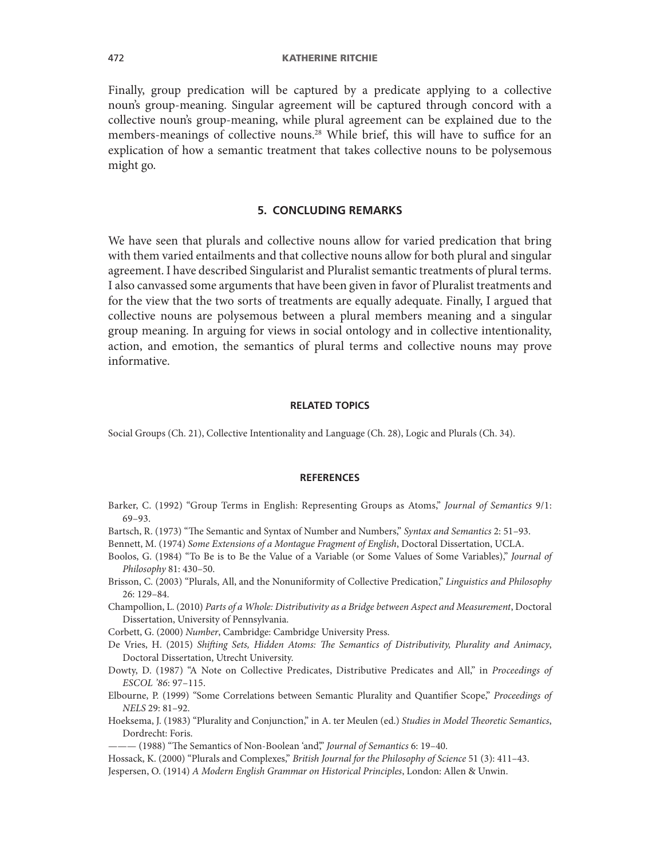#### 472 KATHERINE RITCHIE

Finally, group predication will be captured by a predicate applying to a collective noun's group-meaning. Singular agreement will be captured through concord with a collective noun's group-meaning, while plural agreement can be explained due to the members-meanings of collective nouns.<sup>28</sup> While brief, this will have to suffice for an explication of how a semantic treatment that takes collective nouns to be polysemous might go.

# **5. CONCLUDING REMARKS**

 We have seen that plurals and collective nouns allow for varied predication that bring with them varied entailments and that collective nouns allow for both plural and singular agreement. I have described Singularist and Pluralist semantic treatments of plural terms. I also canvassed some arguments that have been given in favor of Pluralist treatments and for the view that the two sorts of treatments are equally adequate. Finally, I argued that collective nouns are polysemous between a plural members meaning and a singular group meaning. In arguing for views in social ontology and in collective intentionality, action, and emotion, the semantics of plural terms and collective nouns may prove informative.

### **RELATED TOPICS**

Social Groups (Ch. 21), Collective Intentionality and Language (Ch. 28), Logic and Plurals (Ch. 34).

#### **REFERENCES**

- Barker, C. (1992) "Group Terms in English: Representing Groups as Atoms," *Journal of Semantics* 9/1: 69–93 .
- Bartsch, R. (1973) "The Semantic and Syntax of Number and Numbers," Syntax and Semantics 2: 51-93.
- Bennett, M. (1974) Some Extensions of a Montague Fragment of English, Doctoral Dissertation, UCLA.
- Boolos, G. (1984) "To Be is to Be the Value of a Variable (or Some Values of Some Variables)," *Journal of Philosophy* 81: 430-50.
- Brisson , C. ( 2003 ) " Plurals, All, and the Nonuniformity of Collective Predication ," *Linguistics and Philosophy* 26: 129-84.
- Champollion , L. ( 2010 ) *Parts of a Whole: Distributivity as a Bridge between Aspect and Measurement* , Doctoral Dissertation, University of Pennsylvania.
- Corbett, G. (2000) *Number*, Cambridge: Cambridge University Press.
- De Vries, H. (2015) *Shifting Sets, Hidden Atoms: The Semantics of Distributivity, Plurality and Animacy*, Doctoral Dissertation, Utrecht University.
- Dowty, D. (1987) "A Note on Collective Predicates, Distributive Predicates and All," in *Proceedings of ESCOL '86* : 97–115 .
- Elbourne, P. (1999) "Some Correlations between Semantic Plurality and Quantifier Scope," *Proceedings of NELS* 29: 81-92.
- Hoeksema, J. (1983) "Plurality and Conjunction," in A. ter Meulen (ed.) *Studies in Model Theoretic Semantics*, Dordrecht: Foris.

——— (1988) "The Semantics of Non-Boolean 'and," *Journal of Semantics* 6: 19-40.

 Hossack , K. ( 2000 ) " Plurals and Complexes ," *British Journal for the Philosophy of Science* 51 ( 3 ): 411–43 . Jespersen, O. (1914) *A Modern English Grammar on Historical Principles*, London: Allen & Unwin.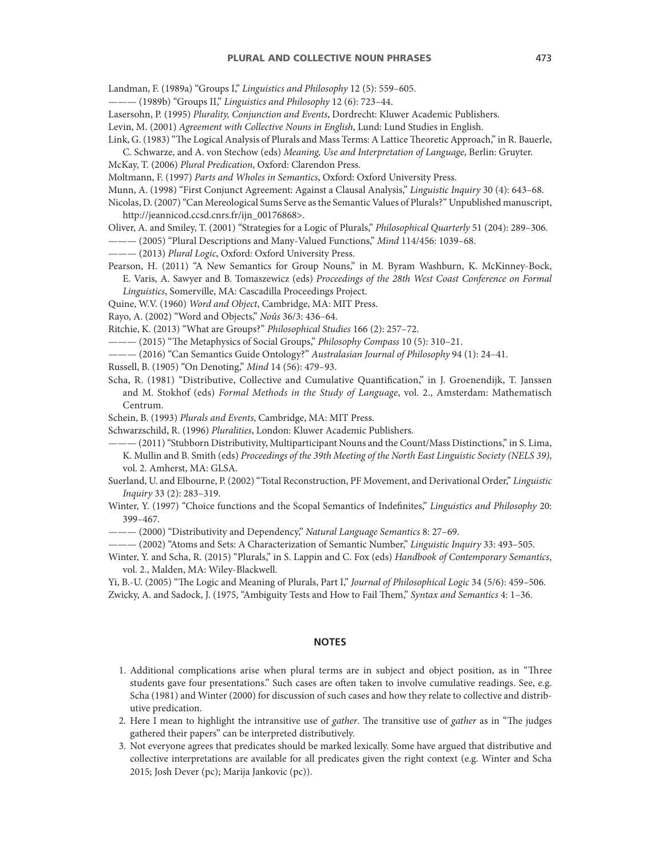Landman, F. (1989a) "Groups I," *Linguistics and Philosophy* 12 (5): 559-605.

——— (1989b) "Groups II," *Linguistics and Philosophy* 12 (6): 723-44.

Lasersohn, P. (1995) *Plurality, Conjunction and Events*, Dordrecht: Kluwer Academic Publishers.

Levin, M. (2001) *Agreement with Collective Nouns in English*, Lund: Lund Studies in English.

- Link, G. (1983) "The Logical Analysis of Plurals and Mass Terms: A Lattice Theoretic Approach," in R. Bauerle,
- C. Schwarze, and A. von Stechow (eds) *Meaning, Use and Interpretation of Language*, Berlin: Gruyter. McKay, T. (2006) *Plural Predication*, Oxford: Clarendon Press.
- Moltmann , F. ( 1997 ) *Parts and Wholes in Semantics* , Oxford : Oxford University Press .

Munn, A. (1998) "First Conjunct Agreement: Against a Clausal Analysis," *Linguistic Inquiry* 30 (4): 643-68.

 Nicolas , D. ( 2007 ) " Can Mereological Sums Serve as the Semantic Values of Plurals? " Unpublished manuscript, http://jeannicod.ccsd.cnrs.fr/ijn\_00176868>.

Oliver, A. and Smiley, T. (2001) "Strategies for a Logic of Plurals," *Philosophical Quarterly* 51 (204): 289-306.

——— ( 2005) "Plural Descriptions and Many-Valued Functions," *Mind* 114/456: 1039–68.

- --- (2013) *Plural Logic*, Oxford: Oxford University Press.
- Pearson, H. (2011) "A New Semantics for Group Nouns," in M. Byram Washburn, K. McKinney-Bock, E. Varis , A. Sawyer and B. Tomaszewicz (eds) *Proceedings of the 28th West Coast Conference on Formal*  Linguistics, Somerville, MA: Cascadilla Proceedings Project.
- Quine, W.V. (1960) *Word and Object*, Cambridge, MA: MIT Press.

Rayo, A. (2002) "Word and Objects," *Noûs* 36/3: 436-64.

Ritchie, K. (2013) "What are Groups?" *Philosophical Studies* 166 (2): 257-72.

— (2015) "The Metaphysics of Social Groups," *Philosophy Compass* 10 (5): 310–21.

——— (2016) "Can Semantics Guide Ontology?" *Australasian Journal of Philosophy* 94 (1): 24–41.

- Russell, B. (1905) "On Denoting," *Mind* 14 (56): 479-93.
- Scha, R. (1981) "Distributive, Collective and Cumulative Quantification," in J. Groenendijk, T. Janssen and M. Stokhof (eds) *Formal Methods in the Study of Language*, vol. 2., Amsterdam: Mathematisch Centrum.

Schein, B. (1993) *Plurals and Events*, Cambridge, MA: MIT Press.

Schwarzschild, R. (1996) *Pluralities*, London: Kluwer Academic Publishers.

——— (2011) "Stubborn Distributivity, Multiparticipant Nouns and the Count/Mass Distinctions," in S. Lima, K. Mullin and B. Smith (eds) *Proceedings of the 39th Meeting of the North East Linguistic Society (NELS 39)*, vol. 2. Amherst, MA: GLSA.

Suerland, U. and Elbourne, P. (2002) "Total Reconstruction, PF Movement, and Derivational Order," *Linguistic Inquiry* 33 (2): 283-319.

Winter, Y. (1997) "Choice functions and the Scopal Semantics of Indefinites," *Linguistics and Philosophy* 20: 399–467 .

——— (2000) "Distributivity and Dependency," *Natural Language Semantics* 8: 27-69.

——— (2002) "Atoms and Sets: A Characterization of Semantic Number," *Linguistic Inquiry* 33: 493–505.

Winter, Y. and Scha, R. (2015) "Plurals," in S. Lappin and C. Fox (eds) *Handbook of Contemporary Semantics*, vol. 2., Malden, MA: Wiley-Blackwell.

Yi, B.-U. (2005) "The Logic and Meaning of Plurals, Part I," *Journal of Philosophical Logic* 34 (5/6): 459–506. Zwicky, A. and Sadock, J. (1975, "Ambiguity Tests and How to Fail Them," Syntax and Semantics 4: 1-36.

#### **NOTES**

- 1. Additional complications arise when plural terms are in subject and object position, as in "Three students gave four presentations." Such cases are often taken to involve cumulative readings. See, e.g. Scha (1981) and Winter (2000) for discussion of such cases and how they relate to collective and distributive predication.
- 2. Here I mean to highlight the intransitive use of *gather*. The transitive use of *gather* as in "The judges gathered their papers" can be interpreted distributively.
- 3. Not everyone agrees that predicates should be marked lexically. Some have argued that distributive and collective interpretations are available for all predicates given the right context (e.g. Winter and Scha 2015; Josh Dever (pc); Marija Jankovic (pc)).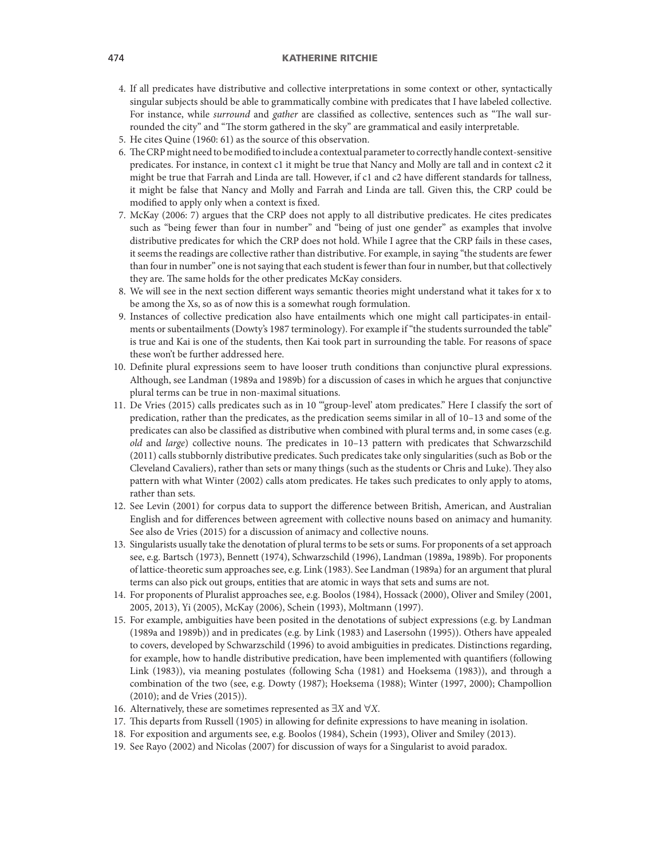#### 474 KATHERINE RITCHIE

- 4. If all predicates have distributive and collective interpretations in some context or other, syntactically singular subjects should be able to grammatically combine with predicates that I have labeled collective. For instance, while *surround* and *gather* are classified as collective, sentences such as "The wall surrounded the city" and "The storm gathered in the sky" are grammatical and easily interpretable.
- 5. He cites Quine (1960: 61) as the source of this observation.
- 6. The CRP might need to be modified to include a contextual parameter to correctly handle context-sensitive predicates. For instance, in context c1 it might be true that Nancy and Molly are tall and in context c2 it might be true that Farrah and Linda are tall. However, if c1 and c2 have different standards for tallness, it might be false that Nancy and Molly and Farrah and Linda are tall. Given this, the CRP could be modified to apply only when a context is fixed.
- 7. McKay (2006: 7) argues that the CRP does not apply to all distributive predicates. He cites predicates such as "being fewer than four in number" and "being of just one gender" as examples that involve distributive predicates for which the CRP does not hold. While I agree that the CRP fails in these cases, it seems the readings are collective rather than distributive. For example, in saying "the students are fewer than four in number" one is not saying that each student is fewer than four in number, but that collectively they are. The same holds for the other predicates McKay considers.
- 8. We will see in the next section different ways semantic theories might understand what it takes for x to be among the Xs, so as of now this is a somewhat rough formulation.
- 9. Instances of collective predication also have entailments which one might call participates-in entailments or subentailments (Dowty's 1987 terminology). For example if "the students surrounded the table" is true and Kai is one of the students, then Kai took part in surrounding the table. For reasons of space these won't be further addressed here.
- 10. Definite plural expressions seem to have looser truth conditions than conjunctive plural expressions. Although, see Landman (1989a and 1989b) for a discussion of cases in which he argues that conjunctive plural terms can be true in non-maximal situations.
- 11. De Vries (2015) calls predicates such as in 10 "'group-level' atom predicates." Here I classify the sort of predication, rather than the predicates, as the predication seems similar in all of 10–13 and some of the predicates can also be classified as distributive when combined with plural terms and, in some cases (e.g. *old* and *large*) collective nouns. The predicates in 10–13 pattern with predicates that Schwarzschild (2011) calls stubbornly distributive predicates. Such predicates take only singularities (such as Bob or the Cleveland Cavaliers), rather than sets or many things (such as the students or Chris and Luke). They also pattern with what Winter (2002) calls atom predicates. He takes such predicates to only apply to atoms, rather than sets.
- 12. See Levin (2001) for corpus data to support the difference between British, American, and Australian English and for differences between agreement with collective nouns based on animacy and humanity. See also de Vries (2015) for a discussion of animacy and collective nouns.
- 13. Singularists usually take the denotation of plural terms to be sets or sums. For proponents of a set approach see, e.g. Bartsch (1973), Bennett (1974), Schwarzschild (1996), Landman (1989a, 1989b). For proponents of lattice-theoretic sum approaches see, e.g. Link (1983). See Landman (1989a) for an argument that plural terms can also pick out groups, entities that are atomic in ways that sets and sums are not.
- 14. For proponents of Pluralist approaches see, e.g. Boolos (1984), Hossack (2000), Oliver and Smiley (2001, 2005, 2013), Yi (2005), McKay (2006), Schein (1993), Moltmann (1997).
- 15. For example, ambiguities have been posited in the denotations of subject expressions (e.g. by Landman (1989a and 1989b)) and in predicates (e.g. by Link (1983) and Lasersohn (1995)). Others have appealed to covers, developed by Schwarzschild (1996) to avoid ambiguities in predicates. Distinctions regarding, for example, how to handle distributive predication, have been implemented with quantifiers (following Link (1983)), via meaning postulates (following Scha (1981) and Hoeksema (1983)), and through a combination of the two (see, e.g. Dowty (1987); Hoeksema (1988); Winter (1997, 2000); Champollion (2010); and de Vries (2015)).
- 16. Alternatively, these are sometimes represented as ∃*X* and ∀*X* .
- 17. This departs from Russell (1905) in allowing for definite expressions to have meaning in isolation.
- 18. For exposition and arguments see, e.g. Boolos (1984), Schein (1993), Oliver and Smiley (2013).
- 19. See Rayo (2002) and Nicolas (2007) for discussion of ways for a Singularist to avoid paradox.